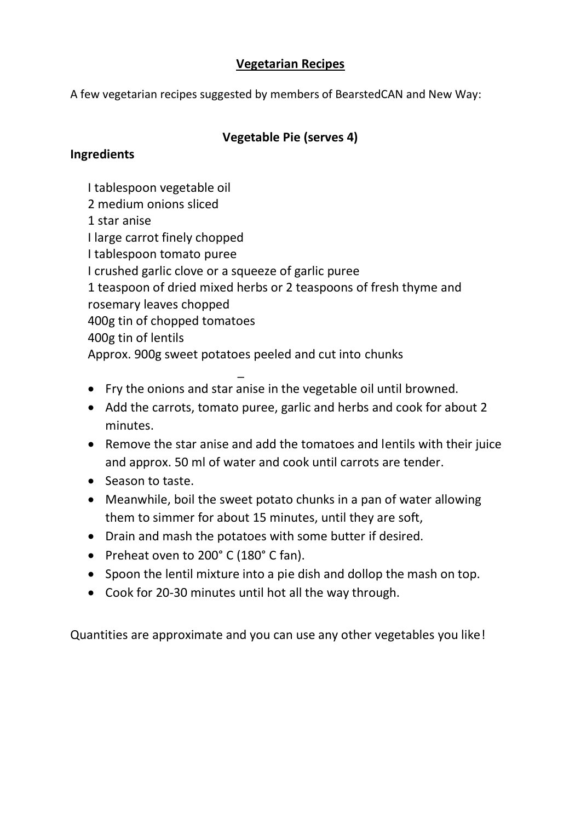### **Vegetarian Recipes**

A few vegetarian recipes suggested by members of BearstedCAN and New Way:

# **Vegetable Pie (serves 4)**

### **Ingredients**

- I tablespoon vegetable oil
- 2 medium onions sliced
- 1 star anise
- I large carrot finely chopped
- I tablespoon tomato puree
- I crushed garlic clove or a squeeze of garlic puree
- 1 teaspoon of dried mixed herbs or 2 teaspoons of fresh thyme and
- rosemary leaves chopped

\_

- 400g tin of chopped tomatoes
- 400g tin of lentils

Approx. 900g sweet potatoes peeled and cut into chunks

- Fry the onions and star anise in the vegetable oil until browned.
- Add the carrots, tomato puree, garlic and herbs and cook for about 2 minutes.
- Remove the star anise and add the tomatoes and lentils with their juice and approx. 50 ml of water and cook until carrots are tender.
- Season to taste.
- Meanwhile, boil the sweet potato chunks in a pan of water allowing them to simmer for about 15 minutes, until they are soft,
- Drain and mash the potatoes with some butter if desired.
- Preheat oven to 200° C (180° C fan).
- Spoon the lentil mixture into a pie dish and dollop the mash on top.
- Cook for 20-30 minutes until hot all the way through.

Quantities are approximate and you can use any other vegetables you like!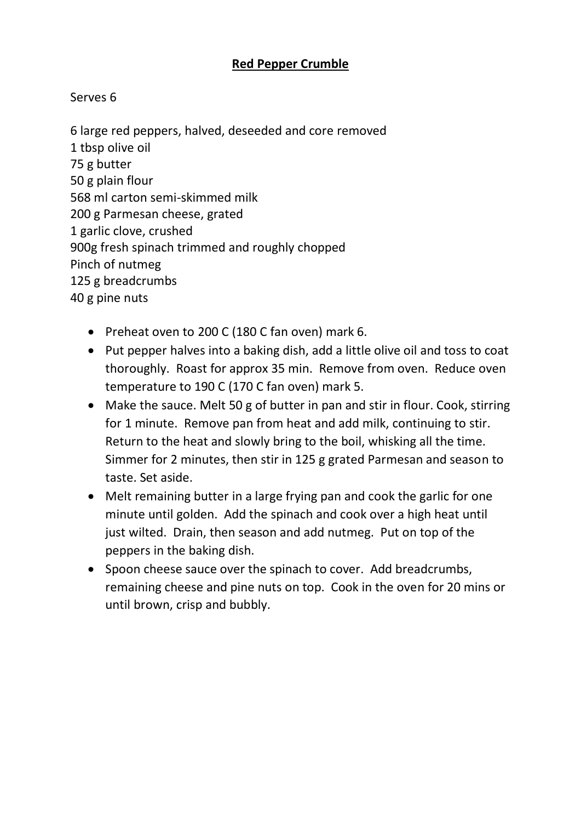# **Red Pepper Crumble**

### Serves 6

6 large red peppers, halved, deseeded and core removed 1 tbsp olive oil 75 g butter 50 g plain flour 568 ml carton semi-skimmed milk 200 g Parmesan cheese, grated 1 garlic clove, crushed 900g fresh spinach trimmed and roughly chopped Pinch of nutmeg 125 g breadcrumbs 40 g pine nuts

- Preheat oven to 200 C (180 C fan oven) mark 6.
- Put pepper halves into a baking dish, add a little olive oil and toss to coat thoroughly. Roast for approx 35 min. Remove from oven. Reduce oven temperature to 190 C (170 C fan oven) mark 5.
- Make the sauce. Melt 50 g of butter in pan and stir in flour. Cook, stirring for 1 minute. Remove pan from heat and add milk, continuing to stir. Return to the heat and slowly bring to the boil, whisking all the time. Simmer for 2 minutes, then stir in 125 g grated Parmesan and season to taste. Set aside.
- Melt remaining butter in a large frying pan and cook the garlic for one minute until golden. Add the spinach and cook over a high heat until just wilted. Drain, then season and add nutmeg. Put on top of the peppers in the baking dish.
- Spoon cheese sauce over the spinach to cover. Add breadcrumbs, remaining cheese and pine nuts on top. Cook in the oven for 20 mins or until brown, crisp and bubbly.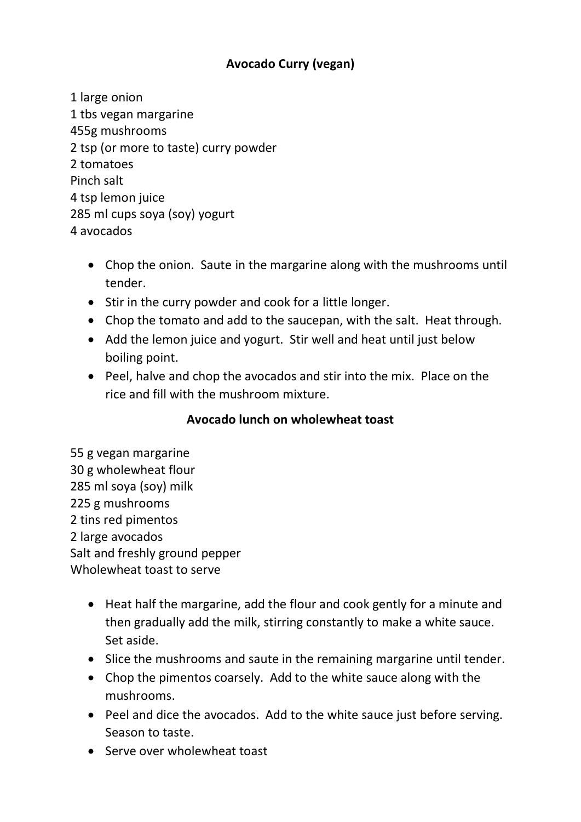# **Avocado Curry (vegan)**

- 1 large onion 1 tbs vegan margarine 455g mushrooms 2 tsp (or more to taste) curry powder 2 tomatoes Pinch salt 4 tsp lemon juice 285 ml cups soya (soy) yogurt 4 avocados
	- Chop the onion. Saute in the margarine along with the mushrooms until tender.
	- Stir in the curry powder and cook for a little longer.
	- Chop the tomato and add to the saucepan, with the salt. Heat through.
	- Add the lemon juice and yogurt. Stir well and heat until just below boiling point.
	- Peel, halve and chop the avocados and stir into the mix. Place on the rice and fill with the mushroom mixture.

# **Avocado lunch on wholewheat toast**

55 g vegan margarine 30 g wholewheat flour 285 ml soya (soy) milk 225 g mushrooms 2 tins red pimentos 2 large avocados Salt and freshly ground pepper Wholewheat toast to serve

- Heat half the margarine, add the flour and cook gently for a minute and then gradually add the milk, stirring constantly to make a white sauce. Set aside.
- Slice the mushrooms and saute in the remaining margarine until tender.
- Chop the pimentos coarsely. Add to the white sauce along with the mushrooms.
- Peel and dice the avocados. Add to the white sauce just before serving. Season to taste.
- Serve over wholewheat toast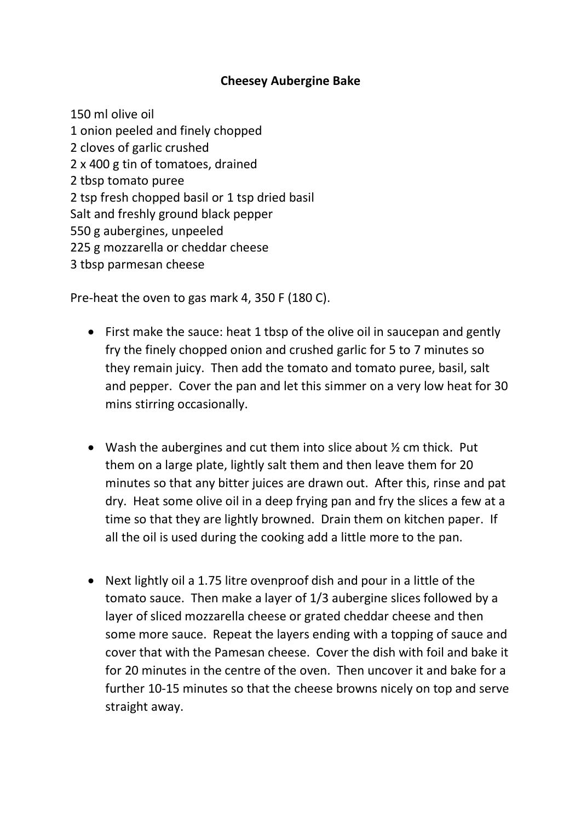#### **Cheesey Aubergine Bake**

150 ml olive oil 1 onion peeled and finely chopped 2 cloves of garlic crushed 2 x 400 g tin of tomatoes, drained 2 tbsp tomato puree 2 tsp fresh chopped basil or 1 tsp dried basil Salt and freshly ground black pepper 550 g aubergines, unpeeled 225 g mozzarella or cheddar cheese 3 tbsp parmesan cheese

Pre-heat the oven to gas mark 4, 350 F (180 C).

- First make the sauce: heat 1 tbsp of the olive oil in saucepan and gently fry the finely chopped onion and crushed garlic for 5 to 7 minutes so they remain juicy. Then add the tomato and tomato puree, basil, salt and pepper. Cover the pan and let this simmer on a very low heat for 30 mins stirring occasionally.
- Wash the aubergines and cut them into slice about  $\frac{1}{2}$  cm thick. Put them on a large plate, lightly salt them and then leave them for 20 minutes so that any bitter juices are drawn out. After this, rinse and pat dry. Heat some olive oil in a deep frying pan and fry the slices a few at a time so that they are lightly browned. Drain them on kitchen paper. If all the oil is used during the cooking add a little more to the pan.
- Next lightly oil a 1.75 litre ovenproof dish and pour in a little of the tomato sauce. Then make a layer of 1/3 aubergine slices followed by a layer of sliced mozzarella cheese or grated cheddar cheese and then some more sauce. Repeat the layers ending with a topping of sauce and cover that with the Pamesan cheese. Cover the dish with foil and bake it for 20 minutes in the centre of the oven. Then uncover it and bake for a further 10-15 minutes so that the cheese browns nicely on top and serve straight away.